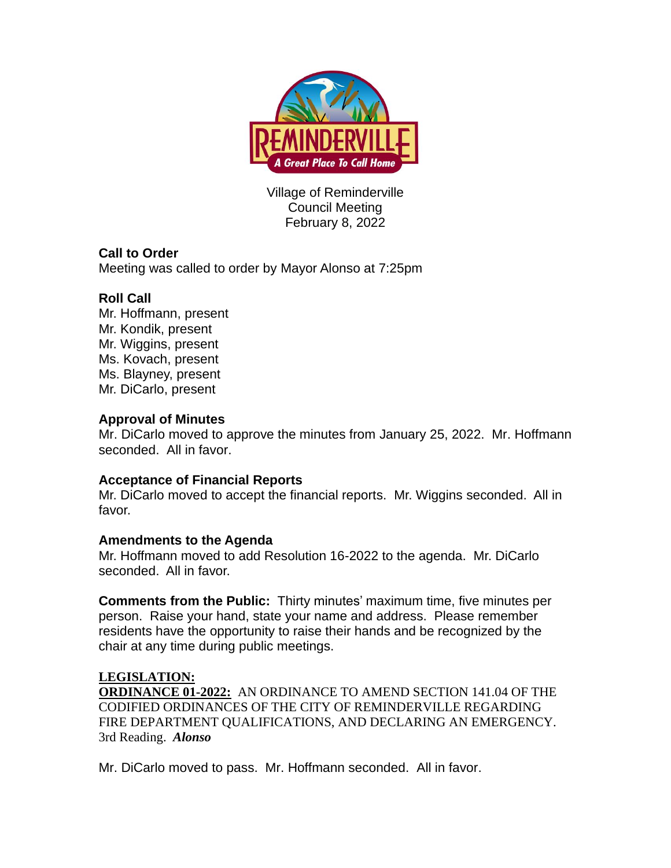

Village of Reminderville Council Meeting February 8, 2022

# **Call to Order**

Meeting was called to order by Mayor Alonso at 7:25pm

## **Roll Call**

Mr. Hoffmann, present Mr. Kondik, present Mr. Wiggins, present Ms. Kovach, present Ms. Blayney, present Mr. DiCarlo, present

### **Approval of Minutes**

Mr. DiCarlo moved to approve the minutes from January 25, 2022. Mr. Hoffmann seconded. All in favor.

### **Acceptance of Financial Reports**

Mr. DiCarlo moved to accept the financial reports. Mr. Wiggins seconded. All in favor.

### **Amendments to the Agenda**

Mr. Hoffmann moved to add Resolution 16-2022 to the agenda. Mr. DiCarlo seconded. All in favor.

**Comments from the Public:** Thirty minutes' maximum time, five minutes per person. Raise your hand, state your name and address. Please remember residents have the opportunity to raise their hands and be recognized by the chair at any time during public meetings.

### **LEGISLATION:**

**ORDINANCE 01-2022:** AN ORDINANCE TO AMEND SECTION 141.04 OF THE CODIFIED ORDINANCES OF THE CITY OF REMINDERVILLE REGARDING FIRE DEPARTMENT QUALIFICATIONS, AND DECLARING AN EMERGENCY. 3rd Reading. *Alonso* 

Mr. DiCarlo moved to pass. Mr. Hoffmann seconded. All in favor.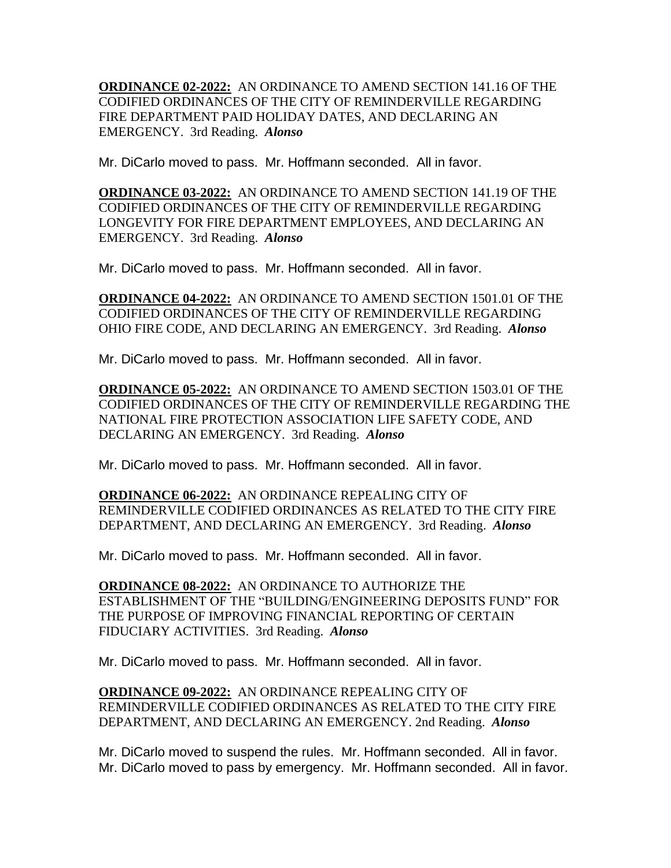**ORDINANCE 02-2022:** AN ORDINANCE TO AMEND SECTION 141.16 OF THE CODIFIED ORDINANCES OF THE CITY OF REMINDERVILLE REGARDING FIRE DEPARTMENT PAID HOLIDAY DATES, AND DECLARING AN EMERGENCY. 3rd Reading. *Alonso* 

Mr. DiCarlo moved to pass. Mr. Hoffmann seconded. All in favor.

**ORDINANCE 03-2022:** AN ORDINANCE TO AMEND SECTION 141.19 OF THE CODIFIED ORDINANCES OF THE CITY OF REMINDERVILLE REGARDING LONGEVITY FOR FIRE DEPARTMENT EMPLOYEES, AND DECLARING AN EMERGENCY. 3rd Reading. *Alonso* 

Mr. DiCarlo moved to pass. Mr. Hoffmann seconded. All in favor.

**ORDINANCE 04-2022:** AN ORDINANCE TO AMEND SECTION 1501.01 OF THE CODIFIED ORDINANCES OF THE CITY OF REMINDERVILLE REGARDING OHIO FIRE CODE, AND DECLARING AN EMERGENCY. 3rd Reading. *Alonso* 

Mr. DiCarlo moved to pass. Mr. Hoffmann seconded. All in favor.

**ORDINANCE 05-2022:** AN ORDINANCE TO AMEND SECTION 1503.01 OF THE CODIFIED ORDINANCES OF THE CITY OF REMINDERVILLE REGARDING THE NATIONAL FIRE PROTECTION ASSOCIATION LIFE SAFETY CODE, AND DECLARING AN EMERGENCY. 3rd Reading. *Alonso* 

Mr. DiCarlo moved to pass. Mr. Hoffmann seconded. All in favor.

**ORDINANCE 06-2022:** AN ORDINANCE REPEALING CITY OF REMINDERVILLE CODIFIED ORDINANCES AS RELATED TO THE CITY FIRE DEPARTMENT, AND DECLARING AN EMERGENCY. 3rd Reading. *Alonso* 

Mr. DiCarlo moved to pass. Mr. Hoffmann seconded. All in favor.

**ORDINANCE 08-2022:** AN ORDINANCE TO AUTHORIZE THE ESTABLISHMENT OF THE "BUILDING/ENGINEERING DEPOSITS FUND" FOR THE PURPOSE OF IMPROVING FINANCIAL REPORTING OF CERTAIN FIDUCIARY ACTIVITIES. 3rd Reading. *Alonso* 

Mr. DiCarlo moved to pass. Mr. Hoffmann seconded. All in favor.

**ORDINANCE 09-2022:** AN ORDINANCE REPEALING CITY OF REMINDERVILLE CODIFIED ORDINANCES AS RELATED TO THE CITY FIRE DEPARTMENT, AND DECLARING AN EMERGENCY. 2nd Reading. *Alonso*

Mr. DiCarlo moved to suspend the rules. Mr. Hoffmann seconded. All in favor. Mr. DiCarlo moved to pass by emergency. Mr. Hoffmann seconded. All in favor.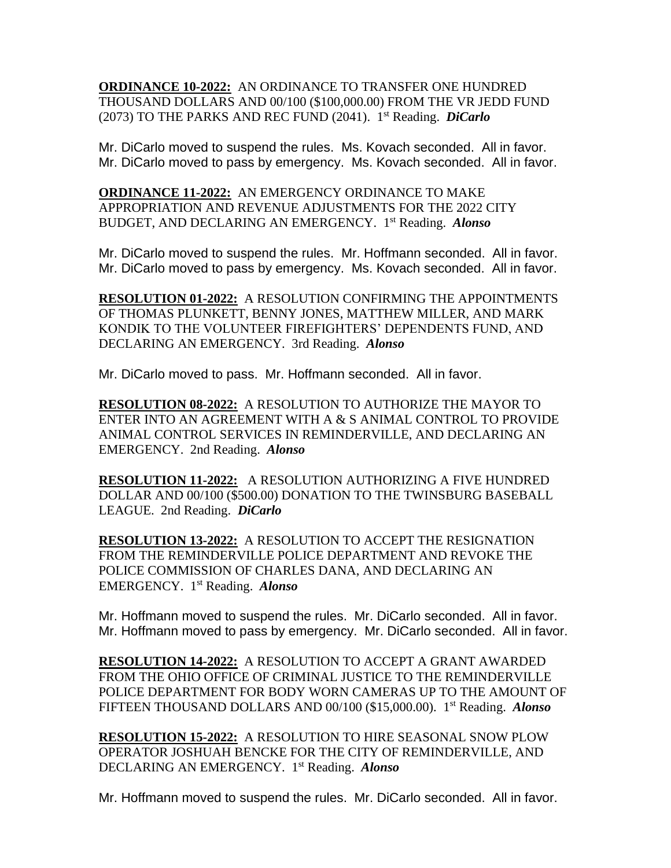**ORDINANCE 10-2022:** AN ORDINANCE TO TRANSFER ONE HUNDRED THOUSAND DOLLARS AND 00/100 (\$100,000.00) FROM THE VR JEDD FUND (2073) TO THE PARKS AND REC FUND (2041). 1 st Reading. *DiCarlo*

Mr. DiCarlo moved to suspend the rules. Ms. Kovach seconded. All in favor. Mr. DiCarlo moved to pass by emergency. Ms. Kovach seconded. All in favor.

**ORDINANCE 11-2022:** AN EMERGENCY ORDINANCE TO MAKE APPROPRIATION AND REVENUE ADJUSTMENTS FOR THE 2022 CITY BUDGET, AND DECLARING AN EMERGENCY. 1 st Reading. *Alonso*

Mr. DiCarlo moved to suspend the rules. Mr. Hoffmann seconded. All in favor. Mr. DiCarlo moved to pass by emergency. Ms. Kovach seconded. All in favor.

**RESOLUTION 01-2022:** A RESOLUTION CONFIRMING THE APPOINTMENTS OF THOMAS PLUNKETT, BENNY JONES, MATTHEW MILLER, AND MARK KONDIK TO THE VOLUNTEER FIREFIGHTERS' DEPENDENTS FUND, AND DECLARING AN EMERGENCY. 3rd Reading. *Alonso* 

Mr. DiCarlo moved to pass. Mr. Hoffmann seconded. All in favor.

**RESOLUTION 08-2022:** A RESOLUTION TO AUTHORIZE THE MAYOR TO ENTER INTO AN AGREEMENT WITH A & S ANIMAL CONTROL TO PROVIDE ANIMAL CONTROL SERVICES IN REMINDERVILLE, AND DECLARING AN EMERGENCY. 2nd Reading. *Alonso*

**RESOLUTION 11-2022:** A RESOLUTION AUTHORIZING A FIVE HUNDRED DOLLAR AND 00/100 (\$500.00) DONATION TO THE TWINSBURG BASEBALL LEAGUE. 2nd Reading. *DiCarlo*

**RESOLUTION 13-2022:** A RESOLUTION TO ACCEPT THE RESIGNATION FROM THE REMINDERVILLE POLICE DEPARTMENT AND REVOKE THE POLICE COMMISSION OF CHARLES DANA, AND DECLARING AN EMERGENCY. 1 st Reading. *Alonso*

Mr. Hoffmann moved to suspend the rules. Mr. DiCarlo seconded. All in favor. Mr. Hoffmann moved to pass by emergency. Mr. DiCarlo seconded. All in favor.

**RESOLUTION 14-2022:** A RESOLUTION TO ACCEPT A GRANT AWARDED FROM THE OHIO OFFICE OF CRIMINAL JUSTICE TO THE REMINDERVILLE POLICE DEPARTMENT FOR BODY WORN CAMERAS UP TO THE AMOUNT OF FIFTEEN THOUSAND DOLLARS AND 00/100 (\$15,000.00). 1 st Reading. *Alonso*

**RESOLUTION 15-2022:** A RESOLUTION TO HIRE SEASONAL SNOW PLOW OPERATOR JOSHUAH BENCKE FOR THE CITY OF REMINDERVILLE, AND DECLARING AN EMERGENCY. 1 st Reading. *Alonso*

Mr. Hoffmann moved to suspend the rules. Mr. DiCarlo seconded. All in favor.